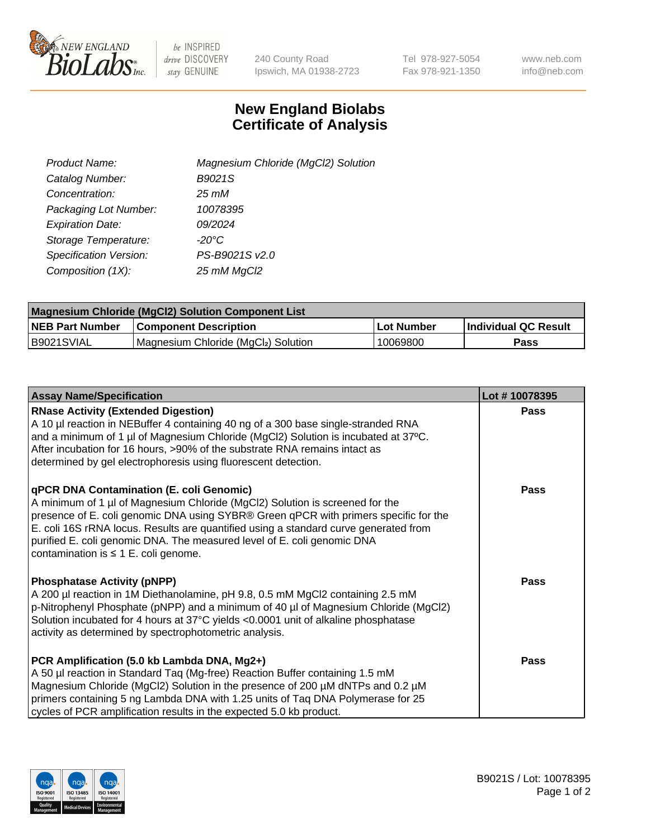

 $be$  INSPIRED drive DISCOVERY stay GENUINE

240 County Road Ipswich, MA 01938-2723 Tel 978-927-5054 Fax 978-921-1350 www.neb.com info@neb.com

## **New England Biolabs Certificate of Analysis**

| Product Name:           | Magnesium Chloride (MgCl2) Solution |
|-------------------------|-------------------------------------|
| Catalog Number:         | B9021S                              |
| Concentration:          | $25 \, \text{m}$ M                  |
| Packaging Lot Number:   | 10078395                            |
| <b>Expiration Date:</b> | 09/2024                             |
| Storage Temperature:    | $-20^{\circ}$ C                     |
| Specification Version:  | PS-B9021S v2.0                      |
| Composition (1X):       | 25 mM MgCl2                         |

| <b>Magnesium Chloride (MgCl2) Solution Component List</b> |                                     |            |                             |  |  |
|-----------------------------------------------------------|-------------------------------------|------------|-----------------------------|--|--|
| <b>NEB Part Number</b>                                    | <b>Component Description</b>        | Lot Number | <b>Individual QC Result</b> |  |  |
| IB9021SVIAL                                               | Magnesium Chloride (MgCl2) Solution | 10069800   | <b>Pass</b>                 |  |  |

| <b>Assay Name/Specification</b>                                                                                                                                                                                                                                                                                                                                                                                                         | Lot #10078395 |
|-----------------------------------------------------------------------------------------------------------------------------------------------------------------------------------------------------------------------------------------------------------------------------------------------------------------------------------------------------------------------------------------------------------------------------------------|---------------|
| <b>RNase Activity (Extended Digestion)</b><br>A 10 µl reaction in NEBuffer 4 containing 40 ng of a 300 base single-stranded RNA<br>and a minimum of 1 µl of Magnesium Chloride (MgCl2) Solution is incubated at 37°C.<br>After incubation for 16 hours, >90% of the substrate RNA remains intact as<br>determined by gel electrophoresis using fluorescent detection.                                                                   | <b>Pass</b>   |
| <b>qPCR DNA Contamination (E. coli Genomic)</b><br>A minimum of 1 µl of Magnesium Chloride (MgCl2) Solution is screened for the<br>presence of E. coli genomic DNA using SYBR® Green qPCR with primers specific for the<br>E. coli 16S rRNA locus. Results are quantified using a standard curve generated from<br>purified E. coli genomic DNA. The measured level of E. coli genomic DNA<br>contamination is $\leq 1$ E. coli genome. | Pass          |
| <b>Phosphatase Activity (pNPP)</b><br>A 200 µl reaction in 1M Diethanolamine, pH 9.8, 0.5 mM MgCl2 containing 2.5 mM<br>p-Nitrophenyl Phosphate (pNPP) and a minimum of 40 µl of Magnesium Chloride (MgCl2)<br>Solution incubated for 4 hours at 37°C yields <0.0001 unit of alkaline phosphatase<br>activity as determined by spectrophotometric analysis.                                                                             | <b>Pass</b>   |
| PCR Amplification (5.0 kb Lambda DNA, Mg2+)<br>A 50 µl reaction in Standard Taq (Mg-free) Reaction Buffer containing 1.5 mM<br>Magnesium Chloride (MgCl2) Solution in the presence of 200 µM dNTPs and 0.2 µM<br>primers containing 5 ng Lambda DNA with 1.25 units of Taq DNA Polymerase for 25<br>cycles of PCR amplification results in the expected 5.0 kb product.                                                                 | Pass          |